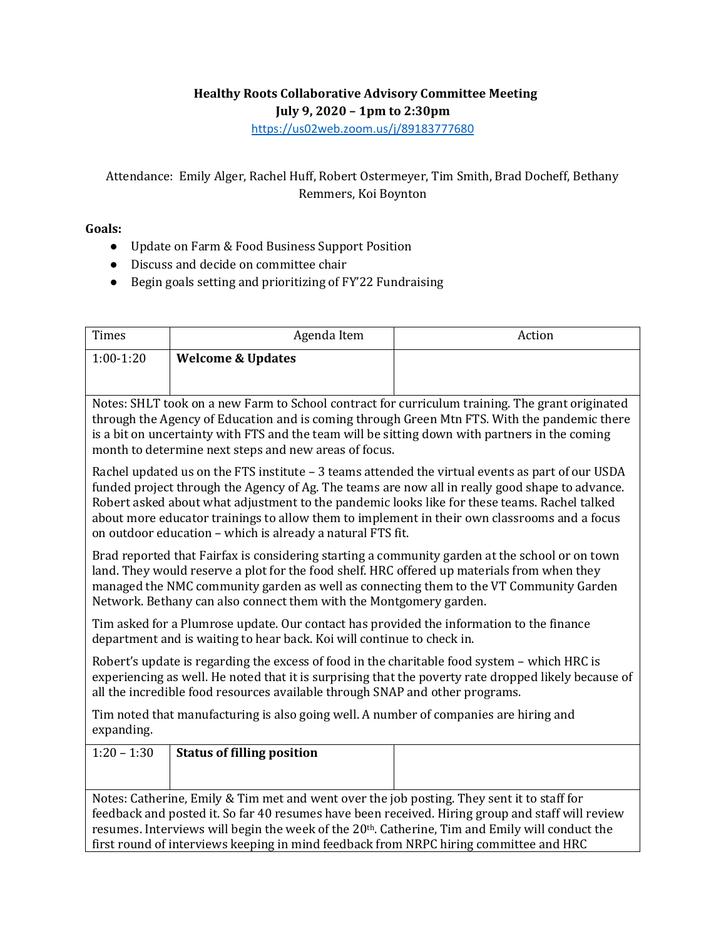## **Healthy Roots Collaborative Advisory Committee Meeting**

**July 9, 2020 – 1pm to 2:30pm**

<https://us02web.zoom.us/j/89183777680>

## Attendance: Emily Alger, Rachel Huff, Robert Ostermeyer, Tim Smith, Brad Docheff, Bethany Remmers, Koi Boynton

## **Goals:**

- Update on Farm & Food Business Support Position
- Discuss and decide on committee chair
- Begin goals setting and prioritizing of FY'22 Fundraising

| $1:00-1:20$<br><b>Welcome &amp; Updates</b><br>Notes: SHLT took on a new Farm to School contract for curriculum training. The grant originated<br>through the Agency of Education and is coming through Green Mtn FTS. With the pandemic there<br>is a bit on uncertainty with FTS and the team will be sitting down with partners in the coming<br>month to determine next steps and new areas of focus.<br>Rachel updated us on the FTS institute $-3$ teams attended the virtual events as part of our USDA<br>funded project through the Agency of Ag. The teams are now all in really good shape to advance.<br>Robert asked about what adjustment to the pandemic looks like for these teams. Rachel talked<br>about more educator trainings to allow them to implement in their own classrooms and a focus<br>on outdoor education - which is already a natural FTS fit.<br>Brad reported that Fairfax is considering starting a community garden at the school or on town<br>land. They would reserve a plot for the food shelf. HRC offered up materials from when they<br>managed the NMC community garden as well as connecting them to the VT Community Garden<br>Network. Bethany can also connect them with the Montgomery garden.<br>Tim asked for a Plumrose update. Our contact has provided the information to the finance<br>department and is waiting to hear back. Koi will continue to check in.<br>Robert's update is regarding the excess of food in the charitable food system - which HRC is<br>experiencing as well. He noted that it is surprising that the poverty rate dropped likely because of<br>all the incredible food resources available through SNAP and other programs.<br>Tim noted that manufacturing is also going well. A number of companies are hiring and<br>expanding.<br>$1:20 - 1:30$<br><b>Status of filling position</b><br>Notes: Catherine, Emily & Tim met and went over the job posting. They sent it to staff for<br>feedback and posted it. So far 40 resumes have been received. Hiring group and staff will review<br>resumes. Interviews will begin the week of the 20 <sup>th</sup> . Catherine, Tim and Emily will conduct the<br>first round of interviews keeping in mind feedback from NRPC hiring committee and HRC | Times | Agenda Item | Action |  |  |
|---------------------------------------------------------------------------------------------------------------------------------------------------------------------------------------------------------------------------------------------------------------------------------------------------------------------------------------------------------------------------------------------------------------------------------------------------------------------------------------------------------------------------------------------------------------------------------------------------------------------------------------------------------------------------------------------------------------------------------------------------------------------------------------------------------------------------------------------------------------------------------------------------------------------------------------------------------------------------------------------------------------------------------------------------------------------------------------------------------------------------------------------------------------------------------------------------------------------------------------------------------------------------------------------------------------------------------------------------------------------------------------------------------------------------------------------------------------------------------------------------------------------------------------------------------------------------------------------------------------------------------------------------------------------------------------------------------------------------------------------------------------------------------------------------------------------------------------------------------------------------------------------------------------------------------------------------------------------------------------------------------------------------------------------------------------------------------------------------------------------------------------------------------------------------------------------------------------------------------------------------------------------------------------|-------|-------------|--------|--|--|
|                                                                                                                                                                                                                                                                                                                                                                                                                                                                                                                                                                                                                                                                                                                                                                                                                                                                                                                                                                                                                                                                                                                                                                                                                                                                                                                                                                                                                                                                                                                                                                                                                                                                                                                                                                                                                                                                                                                                                                                                                                                                                                                                                                                                                                                                                       |       |             |        |  |  |
|                                                                                                                                                                                                                                                                                                                                                                                                                                                                                                                                                                                                                                                                                                                                                                                                                                                                                                                                                                                                                                                                                                                                                                                                                                                                                                                                                                                                                                                                                                                                                                                                                                                                                                                                                                                                                                                                                                                                                                                                                                                                                                                                                                                                                                                                                       |       |             |        |  |  |
|                                                                                                                                                                                                                                                                                                                                                                                                                                                                                                                                                                                                                                                                                                                                                                                                                                                                                                                                                                                                                                                                                                                                                                                                                                                                                                                                                                                                                                                                                                                                                                                                                                                                                                                                                                                                                                                                                                                                                                                                                                                                                                                                                                                                                                                                                       |       |             |        |  |  |
|                                                                                                                                                                                                                                                                                                                                                                                                                                                                                                                                                                                                                                                                                                                                                                                                                                                                                                                                                                                                                                                                                                                                                                                                                                                                                                                                                                                                                                                                                                                                                                                                                                                                                                                                                                                                                                                                                                                                                                                                                                                                                                                                                                                                                                                                                       |       |             |        |  |  |
|                                                                                                                                                                                                                                                                                                                                                                                                                                                                                                                                                                                                                                                                                                                                                                                                                                                                                                                                                                                                                                                                                                                                                                                                                                                                                                                                                                                                                                                                                                                                                                                                                                                                                                                                                                                                                                                                                                                                                                                                                                                                                                                                                                                                                                                                                       |       |             |        |  |  |
|                                                                                                                                                                                                                                                                                                                                                                                                                                                                                                                                                                                                                                                                                                                                                                                                                                                                                                                                                                                                                                                                                                                                                                                                                                                                                                                                                                                                                                                                                                                                                                                                                                                                                                                                                                                                                                                                                                                                                                                                                                                                                                                                                                                                                                                                                       |       |             |        |  |  |
|                                                                                                                                                                                                                                                                                                                                                                                                                                                                                                                                                                                                                                                                                                                                                                                                                                                                                                                                                                                                                                                                                                                                                                                                                                                                                                                                                                                                                                                                                                                                                                                                                                                                                                                                                                                                                                                                                                                                                                                                                                                                                                                                                                                                                                                                                       |       |             |        |  |  |
|                                                                                                                                                                                                                                                                                                                                                                                                                                                                                                                                                                                                                                                                                                                                                                                                                                                                                                                                                                                                                                                                                                                                                                                                                                                                                                                                                                                                                                                                                                                                                                                                                                                                                                                                                                                                                                                                                                                                                                                                                                                                                                                                                                                                                                                                                       |       |             |        |  |  |
|                                                                                                                                                                                                                                                                                                                                                                                                                                                                                                                                                                                                                                                                                                                                                                                                                                                                                                                                                                                                                                                                                                                                                                                                                                                                                                                                                                                                                                                                                                                                                                                                                                                                                                                                                                                                                                                                                                                                                                                                                                                                                                                                                                                                                                                                                       |       |             |        |  |  |
|                                                                                                                                                                                                                                                                                                                                                                                                                                                                                                                                                                                                                                                                                                                                                                                                                                                                                                                                                                                                                                                                                                                                                                                                                                                                                                                                                                                                                                                                                                                                                                                                                                                                                                                                                                                                                                                                                                                                                                                                                                                                                                                                                                                                                                                                                       |       |             |        |  |  |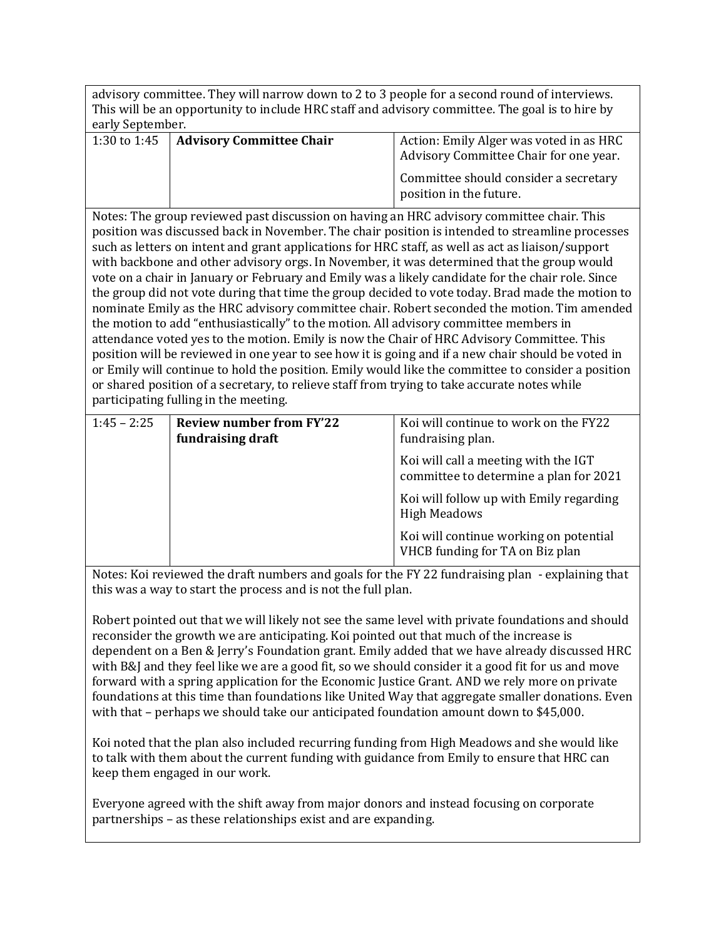advisory committee. They will narrow down to 2 to 3 people for a second round of interviews. This will be an opportunity to include HRC staff and advisory committee. The goal is to hire by early September.

| 1:30 to 1:45   Advisory Committee Chair | Action: Emily Alger was voted in as HRC<br>Advisory Committee Chair for one year. |  |  |
|-----------------------------------------|-----------------------------------------------------------------------------------|--|--|
|                                         | Committee should consider a secretary<br>position in the future.                  |  |  |

Notes: The group reviewed past discussion on having an HRC advisory committee chair. This position was discussed back in November. The chair position is intended to streamline processes such as letters on intent and grant applications for HRC staff, as well as act as liaison/support with backbone and other advisory orgs. In November, it was determined that the group would vote on a chair in January or February and Emily was a likely candidate for the chair role. Since the group did not vote during that time the group decided to vote today. Brad made the motion to nominate Emily as the HRC advisory committee chair. Robert seconded the motion. Tim amended the motion to add "enthusiastically" to the motion. All advisory committee members in attendance voted yes to the motion. Emily is now the Chair of HRC Advisory Committee. This position will be reviewed in one year to see how it is going and if a new chair should be voted in or Emily will continue to hold the position. Emily would like the committee to consider a position or shared position of a secretary, to relieve staff from trying to take accurate notes while participating fulling in the meeting.

| $1:45 - 2:25$ | <b>Review number from FY'22</b><br>fundraising draft | Koi will continue to work on the FY22<br>fundraising plan.                     |
|---------------|------------------------------------------------------|--------------------------------------------------------------------------------|
|               |                                                      | Koi will call a meeting with the IGT<br>committee to determine a plan for 2021 |
|               |                                                      | Koi will follow up with Emily regarding<br><b>High Meadows</b>                 |
|               |                                                      | Koi will continue working on potential<br>VHCB funding for TA on Biz plan      |

Notes: Koi reviewed the draft numbers and goals for the FY 22 fundraising plan - explaining that this was a way to start the process and is not the full plan.

Robert pointed out that we will likely not see the same level with private foundations and should reconsider the growth we are anticipating. Koi pointed out that much of the increase is dependent on a Ben & Jerry's Foundation grant. Emily added that we have already discussed HRC with B&J and they feel like we are a good fit, so we should consider it a good fit for us and move forward with a spring application for the Economic Justice Grant. AND we rely more on private foundations at this time than foundations like United Way that aggregate smaller donations. Even with that – perhaps we should take our anticipated foundation amount down to \$45,000.

Koi noted that the plan also included recurring funding from High Meadows and she would like to talk with them about the current funding with guidance from Emily to ensure that HRC can keep them engaged in our work.

Everyone agreed with the shift away from major donors and instead focusing on corporate partnerships – as these relationships exist and are expanding.